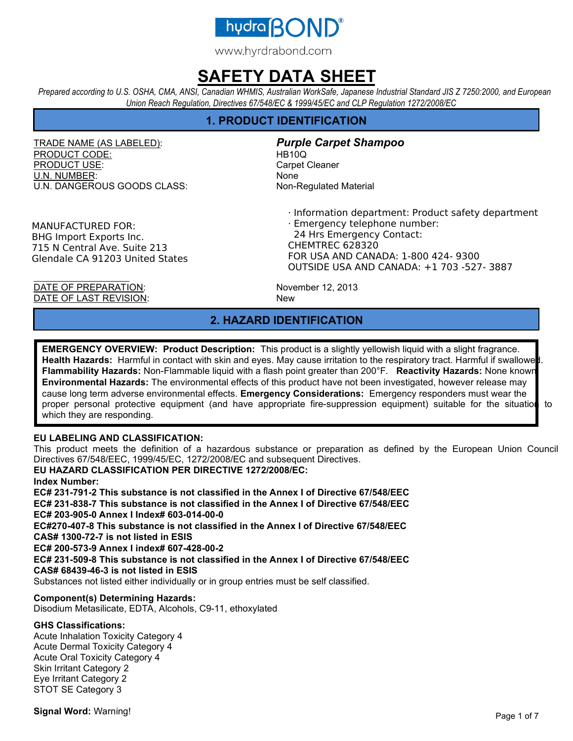

*Prepared according to U.S. OSHA, CMA, ANSI, Canadian WHMIS, Australian WorkSafe, Japanese Industrial Standard JIS Z 7250:2000, and European Union Reach Regulation, Directives 67/548/EC & 1999/45/EC and CLP Regulation 1272/2008/EC* 

## **1. PRODUCT IDENTIFICATION**

TRADE NAME (AS LABELED): *Purple Carpet Shampoo* PRODUCT CODE: HB10Q PRODUCT USE: Carpet Cleaner U.N. NUMBER: None U.N. DANGEROUS GOODS CLASS: Non-Regulated Material

· Information department: Product safety department

MANUFACTURED FOR: BHG Import Exports Inc. 715 N Central Ave. Suite 213 Glendale CA 91203 United States

· Emergency telephone number: 24 Hrs Emergency Contact: CHEMTREC 628320 FOR USA AND CANADA: 1-800 424- 9300 OUTSIDE USA AND CANADA: +1 703 -527- 3887

DATE OF PREPARATION: November 12, 2013 DATE OF LAST REVISION: New

## **2. HAZARD IDENTIFICATION**

**EMERGENCY OVERVIEW: Product Description:** This product is a slightly yellowish liquid with a slight fragrance. Health Hazards: Harmful in contact with skin and eyes. May cause irritation to the respiratory tract. Harmful if swallowe **Flammability Hazards:** Non-Flammable liquid with a flash point greater than 200°F. **Reactivity Hazards:** None known. **Environmental Hazards:** The environmental effects of this product have not been investigated, however release may cause long term adverse environmental effects. **Emergency Considerations:** Emergency responders must wear the proper personal protective equipment (and have appropriate fire-suppression equipment) suitable for the situation to which they are responding.

### **EU LABELING AND CLASSIFICATION:**

This product meets the definition of a hazardous substance or preparation as defined by the European Union Council Directives 67/548/EEC, 1999/45/EC, 1272/2008/EC and subsequent Directives.

### **EU HAZARD CLASSIFICATION PER DIRECTIVE 1272/2008/EC:**

**Index Number:** 

**EC# 231-791-2 This substance is not classified in the Annex I of Directive 67/548/EEC EC# 231-838-7 This substance is not classified in the Annex I of Directive 67/548/EEC EC# 203-905-0 Annex I Index# 603-014-00-0 EC#270-407-8 This substance is not classified in the Annex I of Directive 67/548/EEC** 

**CAS# 1300-72-7 is not listed in ESIS** 

**EC# 200-573-9 Annex I index# 607-428-00-2** 

**EC# 231-509-8 This substance is not classified in the Annex I of Directive 67/548/EEC CAS# 68439-46-3 is not listed in ESIS** 

Substances not listed either individually or in group entries must be self classified.

#### **Component(s) Determining Hazards:**

Disodium Metasilicate, EDTA, Alcohols, C9-11, ethoxylated

### **GHS Classifications:**

Acute Inhalation Toxicity Category 4 Acute Dermal Toxicity Category 4 Acute Oral Toxicity Category 4 Skin Irritant Category 2 Eye Irritant Category 2 STOT SE Category 3

**Signal Word:** Warning!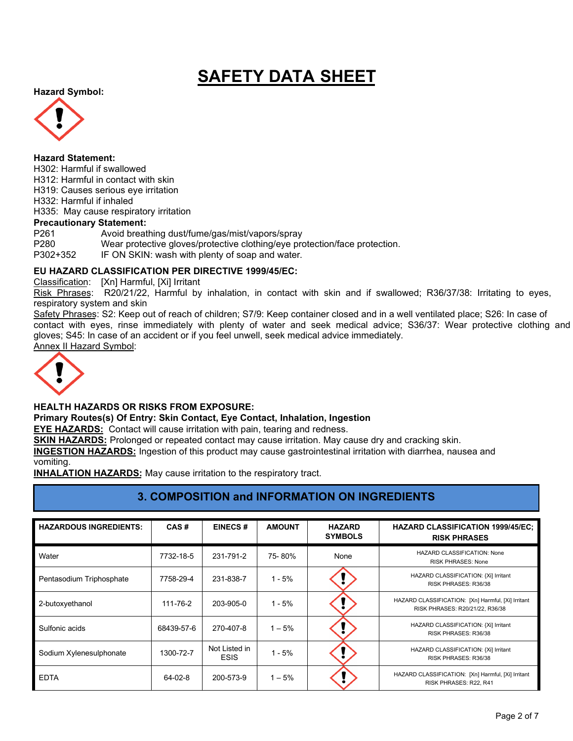**Hazard Symbol:** 



#### **Hazard Statement:**

H302: Harmful if swallowed H312: Harmful in contact with skin H319: Causes serious eye irritation H332: Harmful if inhaled H335: May cause respiratory irritation **Precautionary Statement:**  P261 Avoid breathing dust/fume/gas/mist/vapors/spray P280 Wear protective gloves/protective clothing/eye protection/face protection. P302+352 IF ON SKIN: wash with plenty of soap and water.

### **EU HAZARD CLASSIFICATION PER DIRECTIVE 1999/45/EC:**

Classification: [Xn] Harmful, [Xi] Irritant

Risk Phrases: R20/21/22, Harmful by inhalation, in contact with skin and if swallowed; R36/37/38: Irritating to eyes, respiratory system and skin

Safety Phrases: S2: Keep out of reach of children; S7/9: Keep container closed and in a well ventilated place; S26: In case of contact with eyes, rinse immediately with plenty of water and seek medical advice; S36/37: Wear protective clothing and gloves; S45: In case of an accident or if you feel unwell, seek medical advice immediately. Annex II Hazard Symbol:



### **HEALTH HAZARDS OR RISKS FROM EXPOSURE:**

**Primary Routes(s) Of Entry: Skin Contact, Eye Contact, Inhalation, Ingestion** 

**EYE HAZARDS:** Contact will cause irritation with pain, tearing and redness.

**SKIN HAZARDS:** Prolonged or repeated contact may cause irritation. May cause dry and cracking skin.

**INGESTION HAZARDS:** Ingestion of this product may cause gastrointestinal irritation with diarrhea, nausea and vomiting.

**INHALATION HAZARDS:** May cause irritation to the respiratory tract.

## **3. COMPOSITION and INFORMATION ON INGREDIENTS**

| <b>HAZARDOUS INGREDIENTS:</b> | CAS#       | <b>EINECS#</b>               | <b>AMOUNT</b> | <b>HAZARD</b><br><b>SYMBOLS</b> | <b>HAZARD CLASSIFICATION 1999/45/EC:</b><br><b>RISK PHRASES</b>                       |
|-------------------------------|------------|------------------------------|---------------|---------------------------------|---------------------------------------------------------------------------------------|
| Water                         | 7732-18-5  | 231-791-2                    | 75-80%        | None                            | HAZARD CLASSIFICATION: None<br><b>RISK PHRASES: None</b>                              |
| Pentasodium Triphosphate      | 7758-29-4  | 231-838-7                    | $1 - 5%$      |                                 | HAZARD CLASSIFICATION: {Xi] Irritant<br>RISK PHRASES: R36/38                          |
| 2-butoxyethanol               | 111-76-2   | 203-905-0                    | $1 - 5%$      |                                 | HAZARD CLASSIFICATION: [Xn] Harmful, [Xi] Irritant<br>RISK PHRASES: R20/21/22, R36/38 |
| Sulfonic acids                | 68439-57-6 | 270-407-8                    | $1 - 5%$      |                                 | HAZARD CLASSIFICATION: {Xi] Irritant<br>RISK PHRASES: R36/38                          |
| Sodium Xylenesulphonate       | 1300-72-7  | Not Listed in<br><b>ESIS</b> | $1 - 5%$      |                                 | HAZARD CLASSIFICATION: {Xi] Irritant<br>RISK PHRASES: R36/38                          |
| <b>EDTA</b>                   | 64-02-8    | 200-573-9                    | $1 - 5%$      |                                 | HAZARD CLASSIFICATION: [Xn] Harmful, [Xi] Irritant<br>RISK PHRASES: R22, R41          |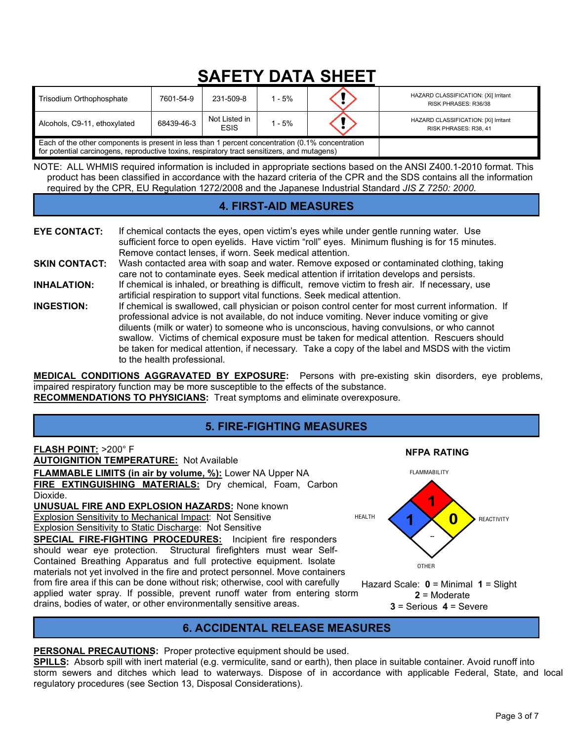| Trisodium Orthophosphate                                                                                                                                                                         | 7601-54-9  | 231-509-8                    | $1 - 5%$ |  | HAZARD CLASSIFICATION: {Xi] Irritant<br>RISK PHRASES: R36/38  |
|--------------------------------------------------------------------------------------------------------------------------------------------------------------------------------------------------|------------|------------------------------|----------|--|---------------------------------------------------------------|
| Alcohols, C9-11, ethoxylated                                                                                                                                                                     | 68439-46-3 | Not Listed in<br><b>ESIS</b> | $1 - 5%$ |  | HAZARD CLASSIFICATION: [Xi] Irritant<br>RISK PHRASES: R38, 41 |
| Each of the other components is present in less than 1 percent concentration (0.1% concentration<br>for potential carcinogens, reproductive toxins, respiratory tract sensitizers, and mutagens) |            |                              |          |  |                                                               |

NOTE: ALL WHMIS required information is included in appropriate sections based on the ANSI Z400.1-2010 format. This product has been classified in accordance with the hazard criteria of the CPR and the SDS contains all the information required by the CPR, EU Regulation 1272/2008 and the Japanese Industrial Standard *JIS Z 7250: 2000*.

## **4. FIRST-AID MEASURES**

**EYE CONTACT:** If chemical contacts the eyes, open victim's eyes while under gentle running water. Use sufficient force to open eyelids. Have victim "roll" eyes. Minimum flushing is for 15 minutes. Remove contact lenses, if worn. Seek medical attention. **SKIN CONTACT:** Wash contacted area with soap and water. Remove exposed or contaminated clothing, taking care not to contaminate eyes. Seek medical attention if irritation develops and persists. **INHALATION:** If chemical is inhaled, or breathing is difficult, remove victim to fresh air. If necessary, use artificial respiration to support vital functions. Seek medical attention. **INGESTION:** If chemical is swallowed, call physician or poison control center for most current information. If professional advice is not available, do not induce vomiting. Never induce vomiting or give diluents (milk or water) to someone who is unconscious, having convulsions, or who cannot swallow. Victims of chemical exposure must be taken for medical attention. Rescuers should be taken for medical attention, if necessary. Take a copy of the label and MSDS with the victim to the health professional.

**MEDICAL CONDITIONS AGGRAVATED BY EXPOSURE:** Persons with pre-existing skin disorders, eye problems, impaired respiratory function may be more susceptible to the effects of the substance. **RECOMMENDATIONS TO PHYSICIANS:** Treat symptoms and eliminate overexposure.

## **5. FIRE-FIGHTING MEASURES**



## **6. ACCIDENTAL RELEASE MEASURES**

**PERSONAL PRECAUTIONS:** Proper protective equipment should be used.

**SPILLS:** Absorb spill with inert material (e.g. vermiculite, sand or earth), then place in suitable container. Avoid runoff into storm sewers and ditches which lead to waterways. Dispose of in accordance with applicable Federal, State, and local regulatory procedures (see Section 13, Disposal Considerations).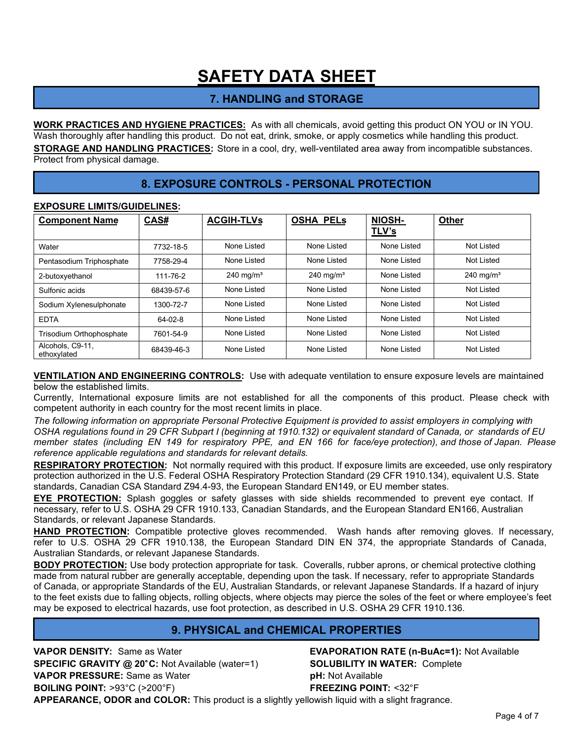## **7. HANDLING and STORAGE**

**WORK PRACTICES AND HYGIENE PRACTICES:** As with all chemicals, avoid getting this product ON YOU or IN YOU. Wash thoroughly after handling this product. Do not eat, drink, smoke, or apply cosmetics while handling this product. **STORAGE AND HANDLING PRACTICES:** Store in a cool, dry, well-ventilated area away from incompatible substances. Protect from physical damage.

## **8. EXPOSURE CONTROLS - PERSONAL PROTECTION**

## Component Name CAS# ACGIH-TLVs OSHA PELs NIOSH-**TLV's Other**  Water 7732-18-5 None Listed None Listed None Listed Not Listed Pentasodium Triphosphate | 7758-29-4 | None Listed | None Listed | None Listed | Not Listed 2-butoxyethanol 111-76-2 240 mg/m<sup>3</sup> 240 mg/m<sup>3</sup> None Listed 240 mg/m<sup>3</sup> Sulfonic acids **68439-57-6** None Listed None Listed None Listed None Listed Not Listed Sodium Xylenesulphonate | 1300-72-7 | None Listed | None Listed | None Listed | Not Listed EDTA 64-02-8 None Listed None Listed None Listed Not Listed Trisodium Orthophosphate | 7601-54-9 | None Listed | None Listed | None Listed | Not Listed Alcohols, C9-11,<br>ethoxylated Alcoriols, C9-11, **68439-46-3** None Listed None Listed None Listed None Listed Not Listed Not Listed

### **EXPOSURE LIMITS/GUIDELINES:**

**VENTILATION AND ENGINEERING CONTROLS:** Use with adequate ventilation to ensure exposure levels are maintained below the established limits.

Currently, International exposure limits are not established for all the components of this product. Please check with competent authority in each country for the most recent limits in place.

*The following information on appropriate Personal Protective Equipment is provided to assist employers in complying with OSHA regulations found in 29 CFR Subpart I (beginning at 1910.132) or equivalent standard of Canada, or standards of EU member states (including EN 149 for respiratory PPE, and EN 166 for face/eye protection), and those of Japan. Please reference applicable regulations and standards for relevant details.* 

**RESPIRATORY PROTECTION:** Not normally required with this product. If exposure limits are exceeded, use only respiratory protection authorized in the U.S. Federal OSHA Respiratory Protection Standard (29 CFR 1910.134), equivalent U.S. State standards, Canadian CSA Standard Z94.4-93, the European Standard EN149, or EU member states.

**EYE PROTECTION:** Splash goggles or safety glasses with side shields recommended to prevent eye contact. If necessary, refer to U.S. OSHA 29 CFR 1910.133, Canadian Standards, and the European Standard EN166, Australian Standards, or relevant Japanese Standards.

**HAND PROTECTION:** Compatible protective gloves recommended. Wash hands after removing gloves. If necessary, refer to U.S. OSHA 29 CFR 1910.138, the European Standard DIN EN 374, the appropriate Standards of Canada, Australian Standards, or relevant Japanese Standards.

**BODY PROTECTION:** Use body protection appropriate for task. Coveralls, rubber aprons, or chemical protective clothing made from natural rubber are generally acceptable, depending upon the task. If necessary, refer to appropriate Standards of Canada, or appropriate Standards of the EU, Australian Standards, or relevant Japanese Standards. If a hazard of injury to the feet exists due to falling objects, rolling objects, where objects may pierce the soles of the feet or where employee's feet may be exposed to electrical hazards, use foot protection, as described in U.S. OSHA 29 CFR 1910.136.

## **9. PHYSICAL and CHEMICAL PROPERTIES**

**VAPOR DENSITY:** Same as Water **EVAPORATION RATE (n-BuAc=1):** Not Available **SPECIFIC GRAVITY @ 20 C:** Not Available (water=1) **SOLUBILITY IN WATER:** Complete **VAPOR PRESSURE:** Same as Water **pH:** Not Available **BOILING POINT:** >93°C (>200°F) **FREEZING POINT:** <32°F **APPEARANCE, ODOR and COLOR:** This product is a slightly yellowish liquid with a slight fragrance.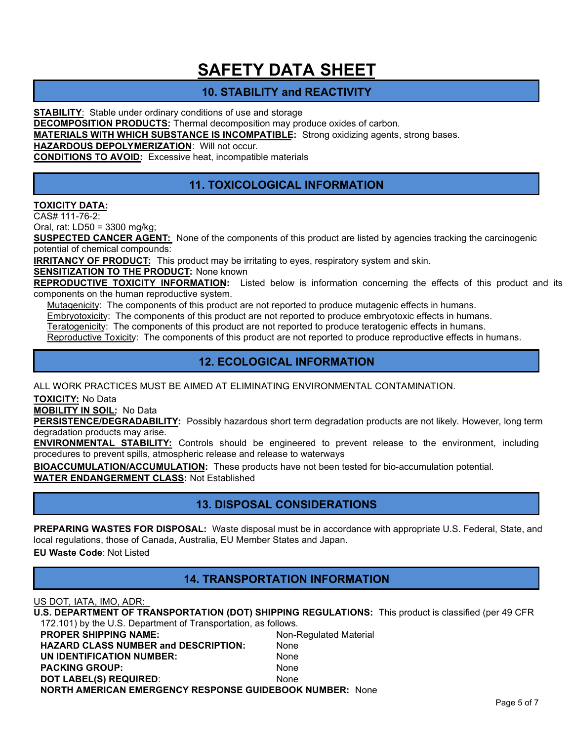## **10. STABILITY and REACTIVITY**

**STABILITY**: Stable under ordinary conditions of use and storage

**DECOMPOSITION PRODUCTS:** Thermal decomposition may produce oxides of carbon.

**MATERIALS WITH WHICH SUBSTANCE IS INCOMPATIBLE:** Strong oxidizing agents, strong bases.

**HAZARDOUS DEPOLYMERIZATION**: Will not occur.

**CONDITIONS TO AVOID:** Excessive heat, incompatible materials

## **11. TOXICOLOGICAL INFORMATION**

#### **TOXICITY DATA:**

CAS# 111-76-2:

Oral, rat: LD50 = 3300 mg/kg;

**SUSPECTED CANCER AGENT:** None of the components of this product are listed by agencies tracking the carcinogenic potential of chemical compounds:

**IRRITANCY OF PRODUCT:** This product may be irritating to eyes, respiratory system and skin.

**SENSITIZATION TO THE PRODUCT: None known** 

**REPRODUCTIVE TOXICITY INFORMATION:** Listed below is information concerning the effects of this product and its components on the human reproductive system.

Mutagenicity: The components of this product are not reported to produce mutagenic effects in humans.

Embryotoxicity: The components of this product are not reported to produce embryotoxic effects in humans.

Teratogenicity: The components of this product are not reported to produce teratogenic effects in humans.

Reproductive Toxicity: The components of this product are not reported to produce reproductive effects in humans.

## **12. ECOLOGICAL INFORMATION**

ALL WORK PRACTICES MUST BE AIMED AT ELIMINATING ENVIRONMENTAL CONTAMINATION.

**TOXICITY:** No Data

**MOBILITY IN SOIL:** No Data

**PERSISTENCE/DEGRADABILITY:** Possibly hazardous short term degradation products are not likely. However, long term degradation products may arise.

**ENVIRONMENTAL STABILITY:** Controls should be engineered to prevent release to the environment, including procedures to prevent spills, atmospheric release and release to waterways

**BIOACCUMULATION/ACCUMULATION:** These products have not been tested for bio-accumulation potential. **WATER ENDANGERMENT CLASS:** Not Established

## **13. DISPOSAL CONSIDERATIONS**

**PREPARING WASTES FOR DISPOSAL:** Waste disposal must be in accordance with appropriate U.S. Federal, State, and local regulations, those of Canada, Australia, EU Member States and Japan.

**EU Waste Code**: Not Listed

### **14. TRANSPORTATION INFORMATION**

US DOT, IATA, IMO, ADR:

| U.S. DEPARTMENT OF TRANSPORTATION (DOT) SHIPPING REGULATIONS: This product is classified (per 49 CFR |                        |  |
|------------------------------------------------------------------------------------------------------|------------------------|--|
| 172.101) by the U.S. Department of Transportation, as follows.                                       |                        |  |
| <b>PROPER SHIPPING NAME:</b>                                                                         | Non-Regulated Material |  |
| <b>HAZARD CLASS NUMBER and DESCRIPTION:</b>                                                          | None                   |  |
| UN IDENTIFICATION NUMBER:                                                                            | None                   |  |

PACKING GROUP: None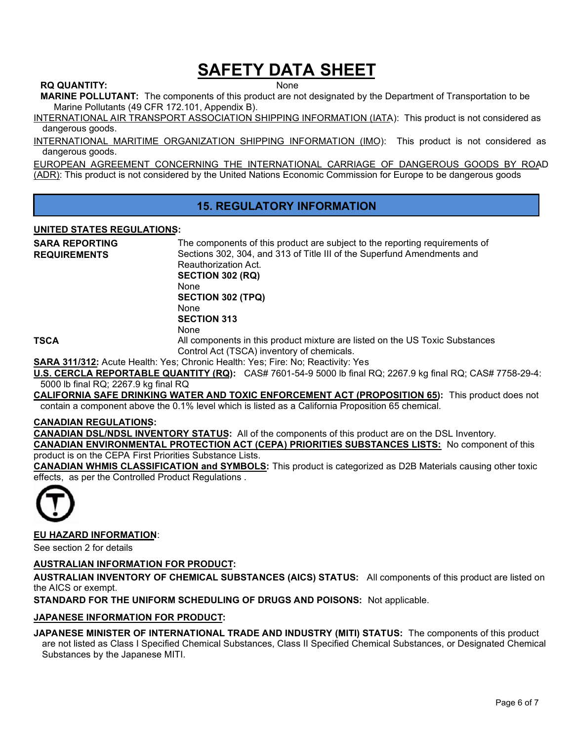#### **RQ QUANTITY:** None

**MARINE POLLUTANT:** The components of this product are not designated by the Department of Transportation to be Marine Pollutants (49 CFR 172.101, Appendix B).

INTERNATIONAL AIR TRANSPORT ASSOCIATION SHIPPING INFORMATION (IATA): This product is not considered as dangerous goods.

INTERNATIONAL MARITIME ORGANIZATION SHIPPING INFORMATION (IMO): This product is not considered as dangerous goods.

EUROPEAN AGREEMENT CONCERNING THE INTERNATIONAL CARRIAGE OF DANGEROUS GOODS BY ROAD (ADR): This product is not considered by the United Nations Economic Commission for Europe to be dangerous goods

## **15. REGULATORY INFORMATION**

#### **UNITED STATES REGULATIONS:**

| <b>SARA REPORTING</b> | The components of this product are subject to the reporting requirements of                                |
|-----------------------|------------------------------------------------------------------------------------------------------------|
| <b>REQUIREMENTS</b>   | Sections 302, 304, and 313 of Title III of the Superfund Amendments and                                    |
|                       | Reauthorization Act.                                                                                       |
|                       | <b>SECTION 302 (RQ)</b>                                                                                    |
|                       | <b>None</b>                                                                                                |
|                       | <b>SECTION 302 (TPQ)</b>                                                                                   |
|                       | <b>None</b>                                                                                                |
|                       | <b>SECTION 313</b>                                                                                         |
|                       | <b>None</b>                                                                                                |
| <b>TSCA</b>           | All components in this product mixture are listed on the US Toxic Substances                               |
|                       | Control Act (TSCA) inventory of chemicals.                                                                 |
|                       | SARA 311/312: Acute Health: Yes; Chronic Health: Yes; Fire: No; Reactivity: Yes                            |
|                       | U.S. CERCLA REPORTABLE QUANTITY (RQ): CAS# 7601-54-9 5000 lb final RQ; 2267.9 kg final RQ; CAS# 7758-29-4: |
|                       |                                                                                                            |

5000 lb final RQ; 2267.9 kg final RQ **CALIFORNIA SAFE DRINKING WATER AND TOXIC ENFORCEMENT ACT (PROPOSITION 65):** This product does not

contain a component above the 0.1% level which is listed as a California Proposition 65 chemical.

#### **CANADIAN REGULATIONS:**

**CANADIAN DSL/NDSL INVENTORY STATUS:** All of the components of this product are on the DSL Inventory.

**CANADIAN ENVIRONMENTAL PROTECTION ACT (CEPA) PRIORITIES SUBSTANCES LISTS:** No component of this product is on the CEPA First Priorities Substance Lists.

**CANADIAN WHMIS CLASSIFICATION and SYMBOLS:** This product is categorized as D2B Materials causing other toxic effects, as per the Controlled Product Regulations .



### **EU HAZARD INFORMATION**:

See section 2 for details

#### **AUSTRALIAN INFORMATION FOR PRODUCT:**

**AUSTRALIAN INVENTORY OF CHEMICAL SUBSTANCES (AICS) STATUS:** All components of this product are listed on the AICS or exempt.

**STANDARD FOR THE UNIFORM SCHEDULING OF DRUGS AND POISONS:** Not applicable.

#### **JAPANESE INFORMATION FOR PRODUCT:**

#### **JAPANESE MINISTER OF INTERNATIONAL TRADE AND INDUSTRY (MITI) STATUS:** The components of this product are not listed as Class I Specified Chemical Substances, Class II Specified Chemical Substances, or Designated Chemical

Substances by the Japanese MITI.